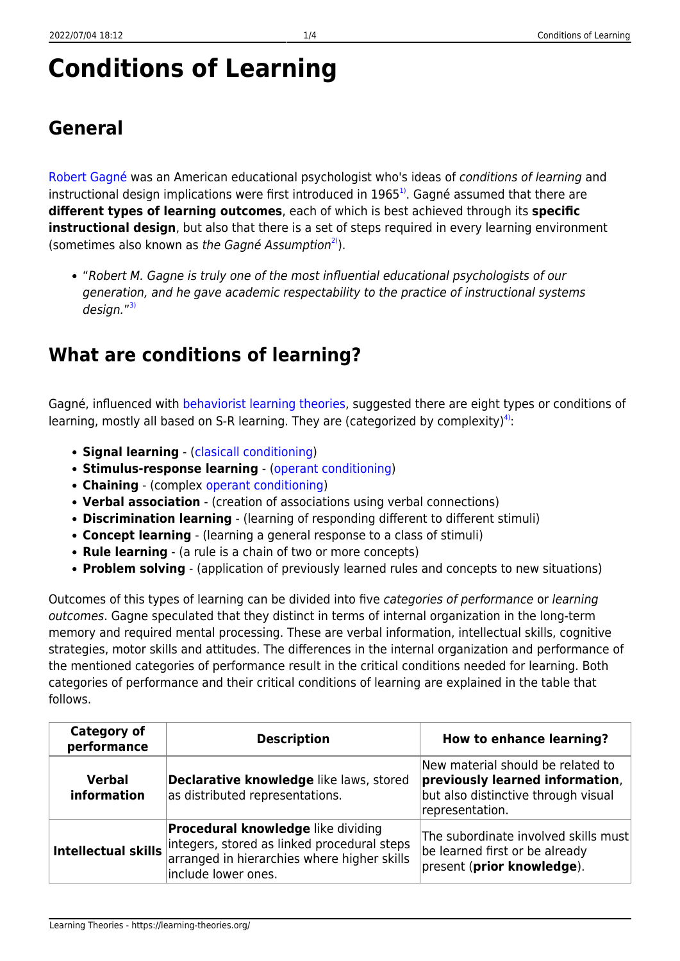# **Conditions of Learning**

## **General**

[Robert Gagné](http://www.ibstpi.org/Products/pdf/appendix_A-C.pdf) was an American educational psychologist who's ideas of conditions of learning and instructional design implications were first introduced in 1965<sup>1</sup>. Gagné assumed that there are **different types of learning outcomes**, each of which is best achieved through its **specific instructional design**, but also that there is a set of steps required in every learning environment (sometimes also known as the Gagné Assumption<sup>2</sup>).

"Robert M. Gagne is truly one of the most influential educational psychologists of our generation, and he gave academic respectability to the practice of instructional systems design."<sup>[3\)](#page--1-0)</sup>

### **What are conditions of learning?**

Gagné, influenced with [behaviorist learning theories,](https://learning-theories.org/doku.php?id=learning_paradigms:behaviorism) suggested there are eight types or conditions of learning, mostly all based on S-R learning. They are (categorized by complexity)<sup>[4\)](#page--1-0)</sup>:

- **Signal learning** ([clasicall conditioning](https://learning-theories.org/doku.php?id=learning_theories:clasicall_conditioning))
- **Stimulus-response learning** [\(operant conditioning\)](https://learning-theories.org/doku.php?id=learning_theories:operant_conditioning)
- **Chaining** (complex [operant conditioning](https://learning-theories.org/doku.php?id=learning_theories:operant_conditioning))
- **Verbal association** (creation of associations using verbal connections)
- **Discrimination learning** (learning of responding different to different stimuli)
- **Concept learning** (learning a general response to a class of stimuli)
- **Rule learning** (a rule is a chain of two or more concepts)
- **Problem solving** (application of previously learned rules and concepts to new situations)

Outcomes of this types of learning can be divided into five categories of performance or learning outcomes. Gagne speculated that they distinct in terms of internal organization in the long-term memory and required mental processing. These are verbal information, intellectual skills, cognitive strategies, motor skills and attitudes. The differences in the internal organization and performance of the mentioned categories of performance result in the critical conditions needed for learning. Both categories of performance and their critical conditions of learning are explained in the table that follows.

| <b>Category of</b><br>performance | <b>Description</b>                                                                                                                                             | <b>How to enhance learning?</b>                                                                                                |
|-----------------------------------|----------------------------------------------------------------------------------------------------------------------------------------------------------------|--------------------------------------------------------------------------------------------------------------------------------|
| <b>Verbal</b><br>information      | Declarative knowledge like laws, stored<br>as distributed representations.                                                                                     | New material should be related to<br>previously learned information,<br>but also distinctive through visual<br>representation. |
| Intellectual skills               | <b>Procedural knowledge</b> like dividing<br>integers, stored as linked procedural steps<br>arranged in hierarchies where higher skills<br>include lower ones. | The subordinate involved skills must<br>be learned first or be already<br>present (prior knowledge).                           |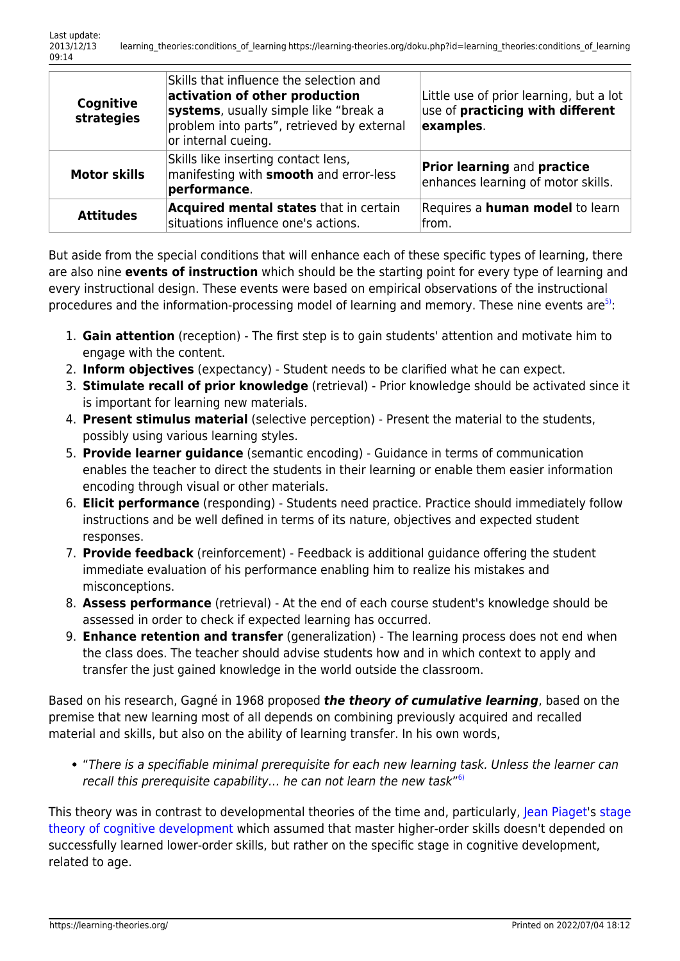| Cognitive<br>strategies | Skills that influence the selection and<br>activation of other production<br>systems, usually simple like "break a<br>problem into parts", retrieved by external<br>or internal cueing. | Little use of prior learning, but a lot<br>use of <b>practicing with different</b><br>examples. |
|-------------------------|-----------------------------------------------------------------------------------------------------------------------------------------------------------------------------------------|-------------------------------------------------------------------------------------------------|
| <b>Motor skills</b>     | Skills like inserting contact lens,<br>manifesting with <b>smooth</b> and error-less<br>performance.                                                                                    | <b>Prior learning and practice</b><br>enhances learning of motor skills.                        |
| <b>Attitudes</b>        | Acquired mental states that in certain<br>situations influence one's actions.                                                                                                           | Requires a <b>human model</b> to learn<br>lfrom.                                                |

But aside from the special conditions that will enhance each of these specific types of learning, there are also nine **events of instruction** which should be the starting point for every type of learning and every instructional design. These events were based on empirical observations of the instructional procedures and the information-processing model of learning and memory. These nine events are<sup>[5\)](#page--1-0)</sup>:

- 1. **Gain attention** (reception) The first step is to gain students' attention and motivate him to engage with the content.
- 2. **Inform objectives** (expectancy) Student needs to be clarified what he can expect.
- 3. **Stimulate recall of prior knowledge** (retrieval) Prior knowledge should be activated since it is important for learning new materials.
- 4. **Present stimulus material** (selective perception) Present the material to the students, possibly using various learning styles.
- 5. **Provide learner guidance** (semantic encoding) Guidance in terms of communication enables the teacher to direct the students in their learning or enable them easier information encoding through visual or other materials.
- 6. **Elicit performance** (responding) Students need practice. Practice should immediately follow instructions and be well defined in terms of its nature, objectives and expected student responses.
- 7. **Provide feedback** (reinforcement) Feedback is additional guidance offering the student immediate evaluation of his performance enabling him to realize his mistakes and misconceptions.
- 8. **Assess performance** (retrieval) At the end of each course student's knowledge should be assessed in order to check if expected learning has occurred.
- 9. **Enhance retention and transfer** (generalization) The learning process does not end when the class does. The teacher should advise students how and in which context to apply and transfer the just gained knowledge in the world outside the classroom.

Based on his research, Gagné in 1968 proposed *the theory of cumulative learning*, based on the premise that new learning most of all depends on combining previously acquired and recalled material and skills, but also on the ability of learning transfer. In his own words,

"There is a specifiable minimal prerequisite for each new learning task. Unless the learner can recall this prerequisite capability... he can not learn the new task"<sup>[6\)](#page--1-0)</sup>

This theory was in contrast to developmental theories of the time and, particularly, [Jean Piaget](http://www.piaget.org/aboutPiaget.html)'s [stage](https://learning-theories.org/doku.php?id=learning_theories:stage_theory_of_cognitive_development) [theory of cognitive development](https://learning-theories.org/doku.php?id=learning_theories:stage_theory_of_cognitive_development) which assumed that master higher-order skills doesn't depended on successfully learned lower-order skills, but rather on the specific stage in cognitive development, related to age.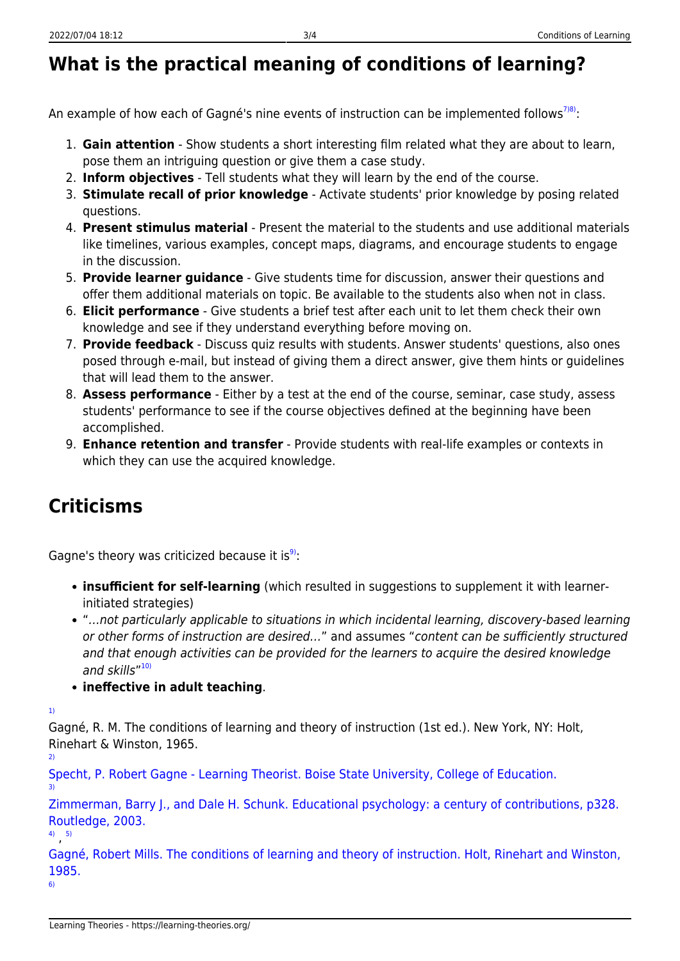### **What is the practical meaning of conditions of learning?**

An example of how each of Gagné's nine events of instruction can be implemented follows<sup>[7\)8\)](#page--1-0)</sup>:

- 1. **Gain attention** Show students a short interesting film related what they are about to learn, pose them an intriguing question or give them a case study.
- 2. **Inform objectives** Tell students what they will learn by the end of the course.
- 3. **Stimulate recall of prior knowledge** Activate students' prior knowledge by posing related questions.
- 4. **Present stimulus material** Present the material to the students and use additional materials like timelines, various examples, concept maps, diagrams, and encourage students to engage in the discussion.
- 5. **Provide learner guidance** Give students time for discussion, answer their questions and offer them additional materials on topic. Be available to the students also when not in class.
- 6. **Elicit performance** Give students a brief test after each unit to let them check their own knowledge and see if they understand everything before moving on.
- 7. **Provide feedback** Discuss quiz results with students. Answer students' questions, also ones posed through e-mail, but instead of giving them a direct answer, give them hints or guidelines that will lead them to the answer.
- 8. **Assess performance** Either by a test at the end of the course, seminar, case study, assess students' performance to see if the course objectives defined at the beginning have been accomplished.
- 9. **Enhance retention and transfer** Provide students with real-life examples or contexts in which they can use the acquired knowledge.

### **Criticisms**

Gagne's theory was criticized because it is<sup>[9\)](#page--1-0)</sup>:

- **insufficient for self-learning** (which resulted in suggestions to supplement it with learnerinitiated strategies)
- "…not particularly applicable to situations in which incidental learning, discovery-based learning or other forms of instruction are desired…" and assumes "content can be sufficiently structured and that enough activities can be provided for the learners to acquire the desired knowledge and skills"<sup>[10\)](#page--1-0)</sup>
- **ineffective in adult teaching**.

[1\)](#page--1-0)

[3\)](#page--1-0)

Gagné, R. M. The conditions of learning and theory of instruction (1st ed.). New York, NY: Holt, Rinehart & Winston, 1965. [2\)](#page--1-0)

[Specht, P. Robert Gagne - Learning Theorist. Boise State University, College of Education.](http://edtech2.boisestate.edu/spechtp/575/learningtheorist.html)

[Zimmerman, Barry J., and Dale H. Schunk. Educational psychology: a century of contributions, p328.](http://www.scribd.com/doc/41760294/Educational-Psychology-a-Century-of-Contributions) [Routledge, 2003.](http://www.scribd.com/doc/41760294/Educational-Psychology-a-Century-of-Contributions)

[4\)](#page--1-0) , [5\)](#page--1-0)

[Gagné, Robert Mills. The conditions of learning and theory of instruction. Holt, Rinehart and Winston,](http://books.google.com/books?id=c1MmAQAAIAAJ) [1985.](http://books.google.com/books?id=c1MmAQAAIAAJ) [6\)](#page--1-0)